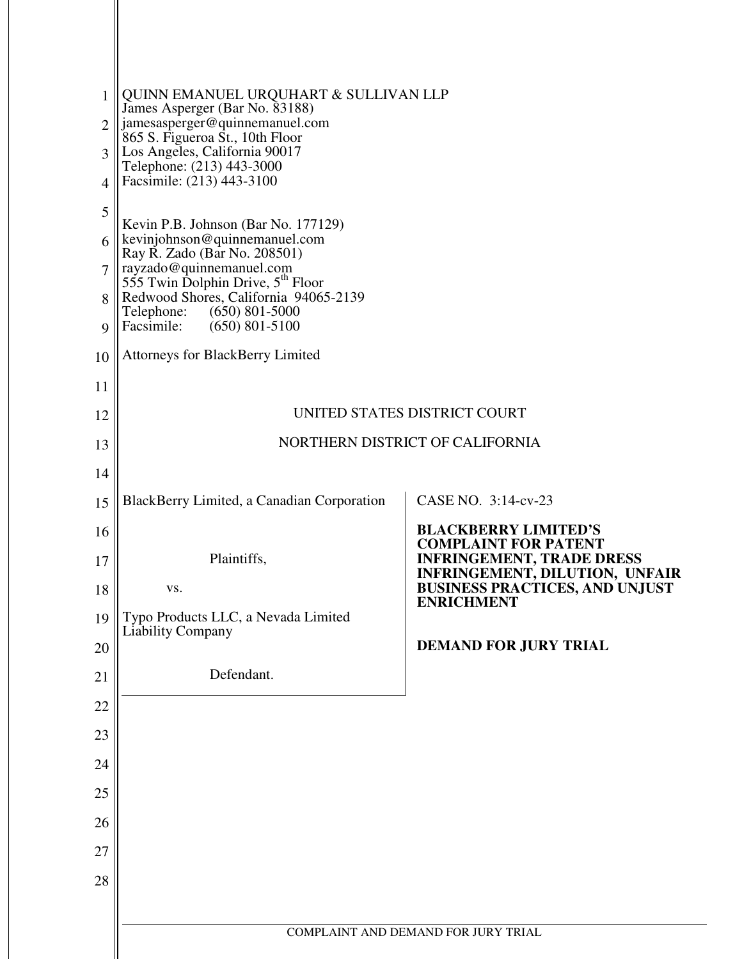| 1<br>$\mathfrak{D}$ | QUINN EMANUEL URQUHART & SULLIVAN LLP<br>James Asperger (Bar No. 83188)<br>jamesasperger@quinnemanuel.com<br>865 S. Figueroa St., 10th Floor |                                                                         |
|---------------------|----------------------------------------------------------------------------------------------------------------------------------------------|-------------------------------------------------------------------------|
| 3<br>$\overline{4}$ | Los Angeles, California 90017<br>Telephone: (213) 443-3000<br>Facsimile: (213) 443-3100                                                      |                                                                         |
| 5                   |                                                                                                                                              |                                                                         |
|                     | Kevin P.B. Johnson (Bar No. 177129)<br>kevinjohnson@quinnemanuel.com                                                                         |                                                                         |
| 6<br>$\overline{7}$ | Ray R. Zado (Bar No. 208501)                                                                                                                 |                                                                         |
|                     | rayzado@quinnemanuel.com<br>555 Twin Dolphin Drive, 5 <sup>th</sup> Floor<br>Redwood Shores, California 94065-2139                           |                                                                         |
| 8<br>9              | Telephone:<br>$(650)$ 801-5000<br>Facsimile:<br>$(650)$ 801-5100                                                                             |                                                                         |
| 10                  | <b>Attorneys for BlackBerry Limited</b>                                                                                                      |                                                                         |
| 11                  |                                                                                                                                              |                                                                         |
| 12                  |                                                                                                                                              | UNITED STATES DISTRICT COURT                                            |
| 13                  |                                                                                                                                              | NORTHERN DISTRICT OF CALIFORNIA                                         |
| 14                  |                                                                                                                                              |                                                                         |
| 15                  | BlackBerry Limited, a Canadian Corporation                                                                                                   | CASE NO. 3:14-cv-23                                                     |
|                     |                                                                                                                                              |                                                                         |
| 16                  |                                                                                                                                              | <b>BLACKBERRY LIMITED'S</b>                                             |
| 17                  | Plaintiffs,                                                                                                                                  | <b>COMPLAINT FOR PATENT</b><br><b>INFRINGEMENT, TRADE DRESS</b>         |
| 18                  | VS.                                                                                                                                          | INFRINGEMENT, DILUTION, UNFAIR<br><b>BUSINESS PRACTICES, AND UNJUST</b> |
| 19                  | Typo Products LLC, a Nevada Limited                                                                                                          | <b>ENRICHMENT</b>                                                       |
| 20                  | Liability Company                                                                                                                            | <b>DEMAND FOR JURY TRIAL</b>                                            |
| 21                  | Defendant.                                                                                                                                   |                                                                         |
| 22                  |                                                                                                                                              |                                                                         |
| 23                  |                                                                                                                                              |                                                                         |
| 24                  |                                                                                                                                              |                                                                         |
| 25                  |                                                                                                                                              |                                                                         |
| 26                  |                                                                                                                                              |                                                                         |
| 27                  |                                                                                                                                              |                                                                         |
| 28                  |                                                                                                                                              |                                                                         |
|                     |                                                                                                                                              |                                                                         |
|                     |                                                                                                                                              | COMPLAINT AND DEMAND FOR JURY TRIAL                                     |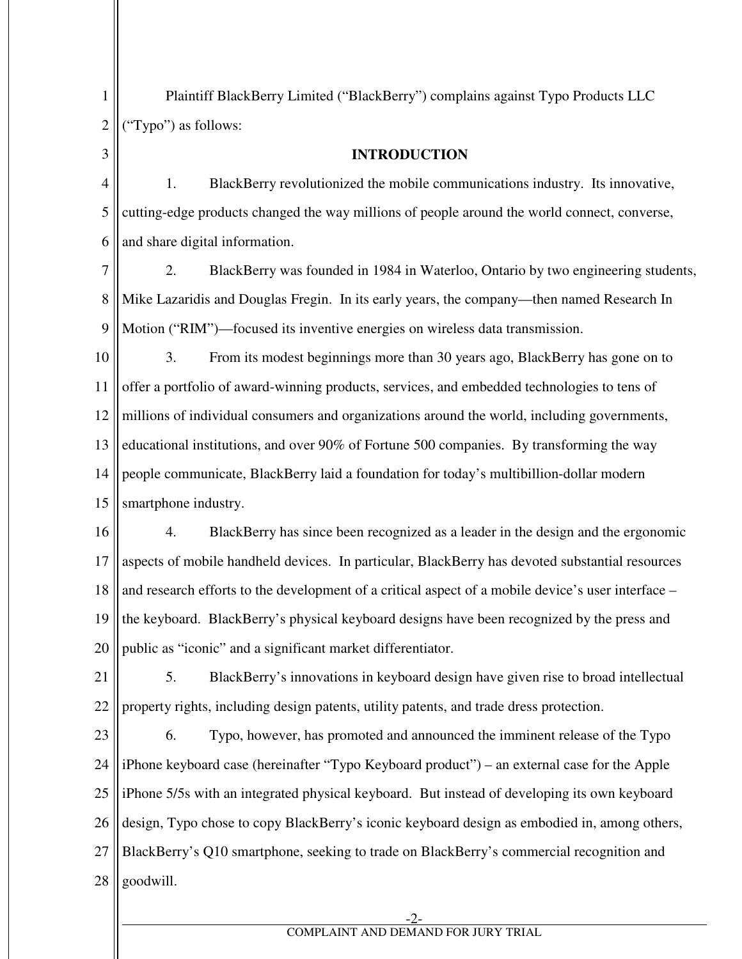Plaintiff BlackBerry Limited ("BlackBerry") complains against Typo Products LLC ("Typo") as follows:

1

2

3

**INTRODUCTION** 

4 5 6 1. BlackBerry revolutionized the mobile communications industry. Its innovative, cutting-edge products changed the way millions of people around the world connect, converse, and share digital information.

7 8 9 2. BlackBerry was founded in 1984 in Waterloo, Ontario by two engineering students, Mike Lazaridis and Douglas Fregin. In its early years, the company—then named Research In Motion ("RIM")—focused its inventive energies on wireless data transmission.

10 11 12 13 14 15 3. From its modest beginnings more than 30 years ago, BlackBerry has gone on to offer a portfolio of award-winning products, services, and embedded technologies to tens of millions of individual consumers and organizations around the world, including governments, educational institutions, and over 90% of Fortune 500 companies. By transforming the way people communicate, BlackBerry laid a foundation for today's multibillion-dollar modern smartphone industry.

16 17 18 19 20 4. BlackBerry has since been recognized as a leader in the design and the ergonomic aspects of mobile handheld devices. In particular, BlackBerry has devoted substantial resources and research efforts to the development of a critical aspect of a mobile device's user interface – the keyboard. BlackBerry's physical keyboard designs have been recognized by the press and public as "iconic" and a significant market differentiator.

21 22 5. BlackBerry's innovations in keyboard design have given rise to broad intellectual property rights, including design patents, utility patents, and trade dress protection.

23 24 25 26 27 28 6. Typo, however, has promoted and announced the imminent release of the Typo iPhone keyboard case (hereinafter "Typo Keyboard product") – an external case for the Apple iPhone 5/5s with an integrated physical keyboard. But instead of developing its own keyboard design, Typo chose to copy BlackBerry's iconic keyboard design as embodied in, among others, BlackBerry's Q10 smartphone, seeking to trade on BlackBerry's commercial recognition and goodwill.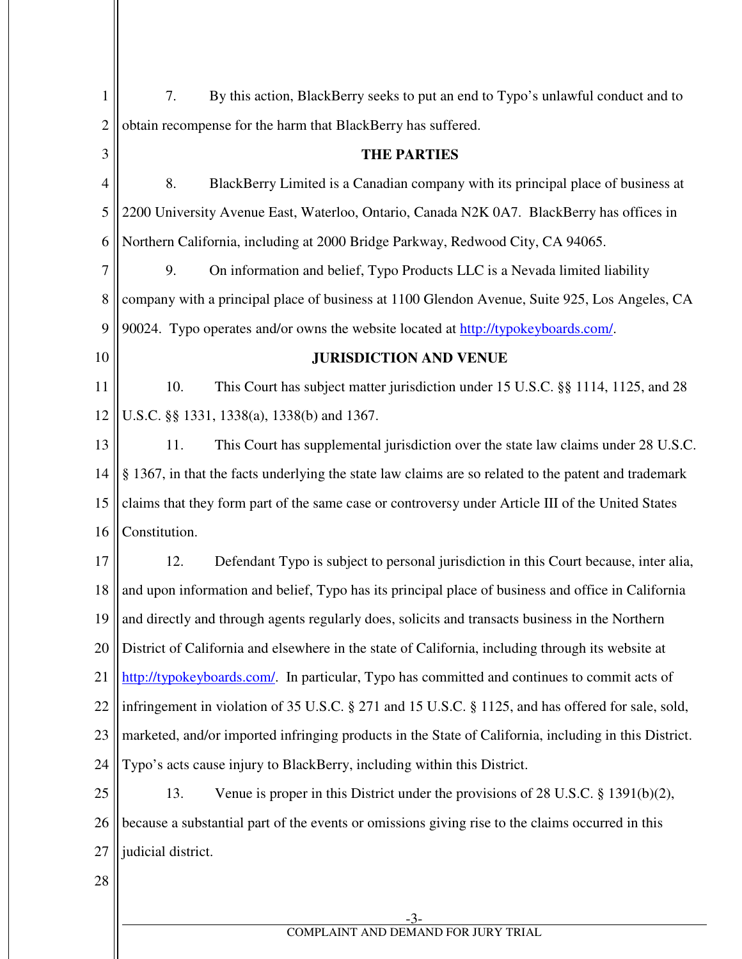| $\mathbf{1}$   | By this action, BlackBerry seeks to put an end to Typo's unlawful conduct and to<br>7.                |
|----------------|-------------------------------------------------------------------------------------------------------|
| $\overline{2}$ | obtain recompense for the harm that BlackBerry has suffered.                                          |
| 3              | <b>THE PARTIES</b>                                                                                    |
| $\overline{4}$ | 8.<br>BlackBerry Limited is a Canadian company with its principal place of business at                |
| 5              | 2200 University Avenue East, Waterloo, Ontario, Canada N2K 0A7. BlackBerry has offices in             |
| 6              | Northern California, including at 2000 Bridge Parkway, Redwood City, CA 94065.                        |
| 7              | 9.<br>On information and belief, Typo Products LLC is a Nevada limited liability                      |
| 8              | company with a principal place of business at 1100 Glendon Avenue, Suite 925, Los Angeles, CA         |
| 9              | 90024. Typo operates and/or owns the website located at http://typokeyboards.com/.                    |
| 10             | <b>JURISDICTION AND VENUE</b>                                                                         |
| 11             | This Court has subject matter jurisdiction under 15 U.S.C. §§ 1114, 1125, and 28<br>10.               |
| 12             | U.S.C. §§ 1331, 1338(a), 1338(b) and 1367.                                                            |
| 13             | 11.<br>This Court has supplemental jurisdiction over the state law claims under 28 U.S.C.             |
| 14             | § 1367, in that the facts underlying the state law claims are so related to the patent and trademark  |
| 15             | claims that they form part of the same case or controversy under Article III of the United States     |
| 16             | Constitution.                                                                                         |
| 17             | Defendant Typo is subject to personal jurisdiction in this Court because, inter alia,<br>12.          |
| 18             | and upon information and belief, Typo has its principal place of business and office in California    |
|                | 19 and directly and through agents regularly does, solicits and transacts business in the Northern    |
| 20             | District of California and elsewhere in the state of California, including through its website at     |
| 21             | http://typokeyboards.com/. In particular, Typo has committed and continues to commit acts of          |
| 22             | infringement in violation of 35 U.S.C. § 271 and 15 U.S.C. § 1125, and has offered for sale, sold,    |
| 23             | marketed, and/or imported infringing products in the State of California, including in this District. |
| 24             | Typo's acts cause injury to BlackBerry, including within this District.                               |
| 25             | 13.<br>Venue is proper in this District under the provisions of 28 U.S.C. $\S$ 1391(b)(2),            |
| 26             | because a substantial part of the events or omissions giving rise to the claims occurred in this      |
| 27             | judicial district.                                                                                    |
| 28             |                                                                                                       |
|                | $-3-$                                                                                                 |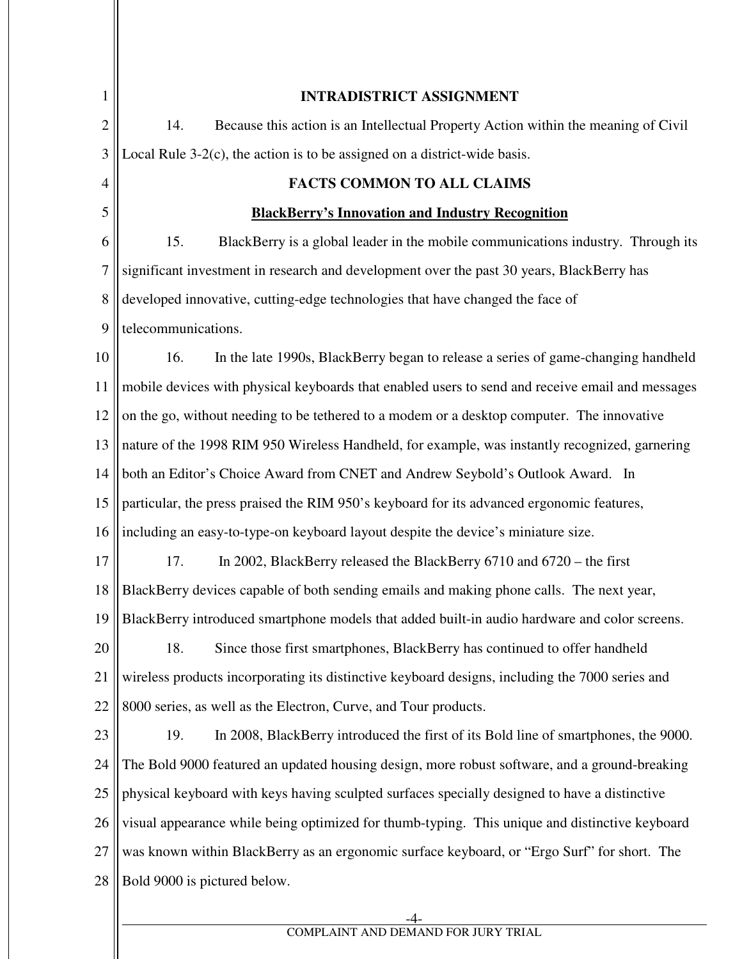| 1              | <b>INTRADISTRICT ASSIGNMENT</b>                                                                  |
|----------------|--------------------------------------------------------------------------------------------------|
| $\overline{2}$ | Because this action is an Intellectual Property Action within the meaning of Civil<br>14.        |
| 3              | Local Rule $3-2(c)$ , the action is to be assigned on a district-wide basis.                     |
| $\overline{4}$ | <b>FACTS COMMON TO ALL CLAIMS</b>                                                                |
| 5              | <b>BlackBerry's Innovation and Industry Recognition</b>                                          |
| 6              | 15.<br>BlackBerry is a global leader in the mobile communications industry. Through its          |
| 7              | significant investment in research and development over the past 30 years, BlackBerry has        |
| 8              | developed innovative, cutting-edge technologies that have changed the face of                    |
| 9              | telecommunications.                                                                              |
| 10             | 16.<br>In the late 1990s, BlackBerry began to release a series of game-changing handheld         |
| 11             | mobile devices with physical keyboards that enabled users to send and receive email and messages |
| 12             | on the go, without needing to be tethered to a modem or a desktop computer. The innovative       |
| 13             | nature of the 1998 RIM 950 Wireless Handheld, for example, was instantly recognized, garnering   |
| 14             | both an Editor's Choice Award from CNET and Andrew Seybold's Outlook Award. In                   |
| 15             | particular, the press praised the RIM 950's keyboard for its advanced ergonomic features,        |
| 16             | including an easy-to-type-on keyboard layout despite the device's miniature size.                |
| 17             | In 2002, BlackBerry released the BlackBerry $6710$ and $6720$ – the first<br>17.                 |
| 18             | BlackBerry devices capable of both sending emails and making phone calls. The next year,         |
| 19             | BlackBerry introduced smartphone models that added built-in audio hardware and color screens.    |
| 20             | Since those first smartphones, BlackBerry has continued to offer handheld<br>18.                 |
| 21             | wireless products incorporating its distinctive keyboard designs, including the 7000 series and  |
| 22             | 8000 series, as well as the Electron, Curve, and Tour products.                                  |
| 23             | 19.<br>In 2008, BlackBerry introduced the first of its Bold line of smartphones, the 9000.       |
| 24             | The Bold 9000 featured an updated housing design, more robust software, and a ground-breaking    |
| 25             | physical keyboard with keys having sculpted surfaces specially designed to have a distinctive    |
| 26             | visual appearance while being optimized for thumb-typing. This unique and distinctive keyboard   |
| 27             | was known within BlackBerry as an ergonomic surface keyboard, or "Ergo Surf" for short. The      |
| 28             | Bold 9000 is pictured below.                                                                     |
|                |                                                                                                  |

## COMPLAINT AND DEMAND FOR JURY TRIAL

 $\parallel$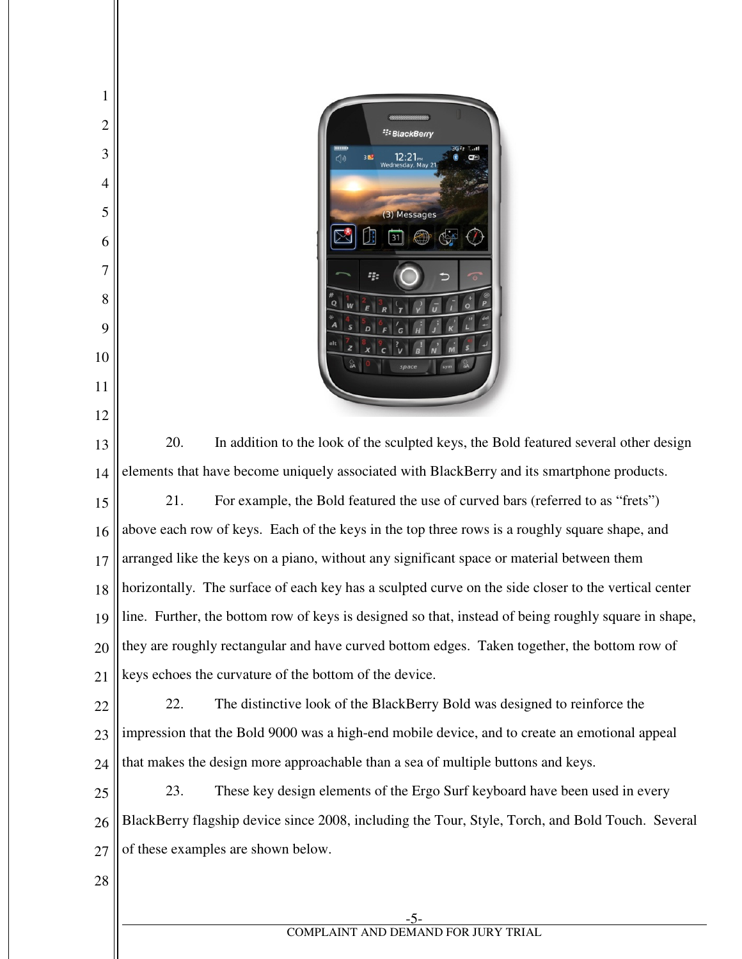

 20. In addition to the look of the sculpted keys, the Bold featured several other design elements that have become uniquely associated with BlackBerry and its smartphone products. 21. For example, the Bold featured the use of curved bars (referred to as "frets") above each row of keys. Each of the keys in the top three rows is a roughly square shape, and arranged like the keys on a piano, without any significant space or material between them horizontally. The surface of each key has a sculpted curve on the side closer to the vertical center line. Further, the bottom row of keys is designed so that, instead of being roughly square in shape, they are roughly rectangular and have curved bottom edges. Taken together, the bottom row of keys echoes the curvature of the bottom of the device.

 22. The distinctive look of the BlackBerry Bold was designed to reinforce the impression that the Bold 9000 was a high-end mobile device, and to create an emotional appeal that makes the design more approachable than a sea of multiple buttons and keys.

 23. These key design elements of the Ergo Surf keyboard have been used in every BlackBerry flagship device since 2008, including the Tour, Style, Torch, and Bold Touch. Several of these examples are shown below.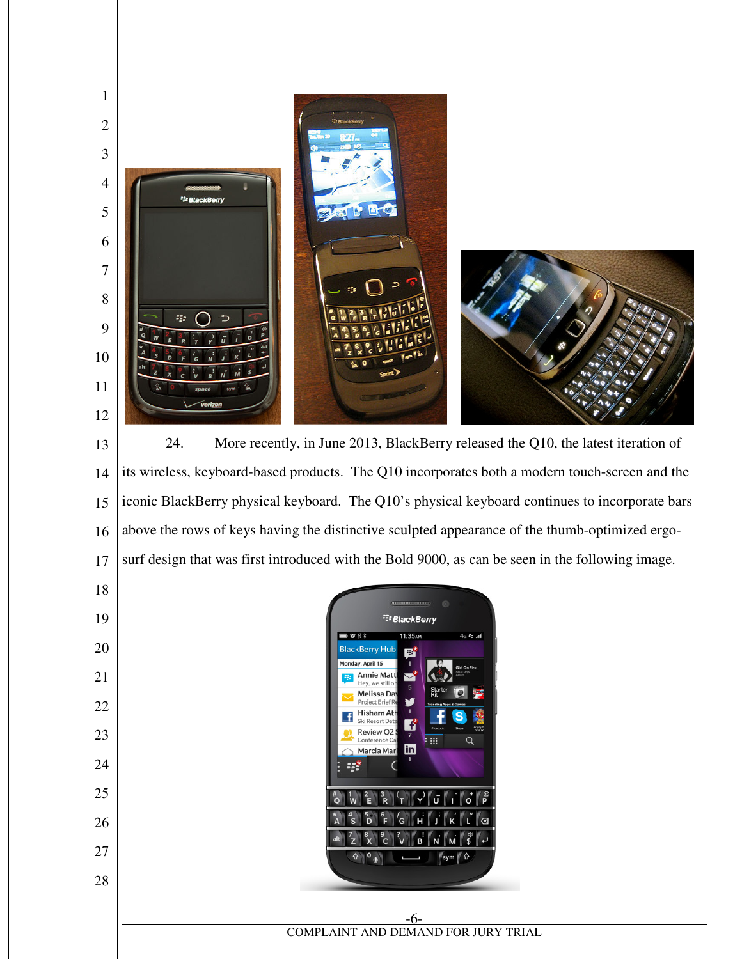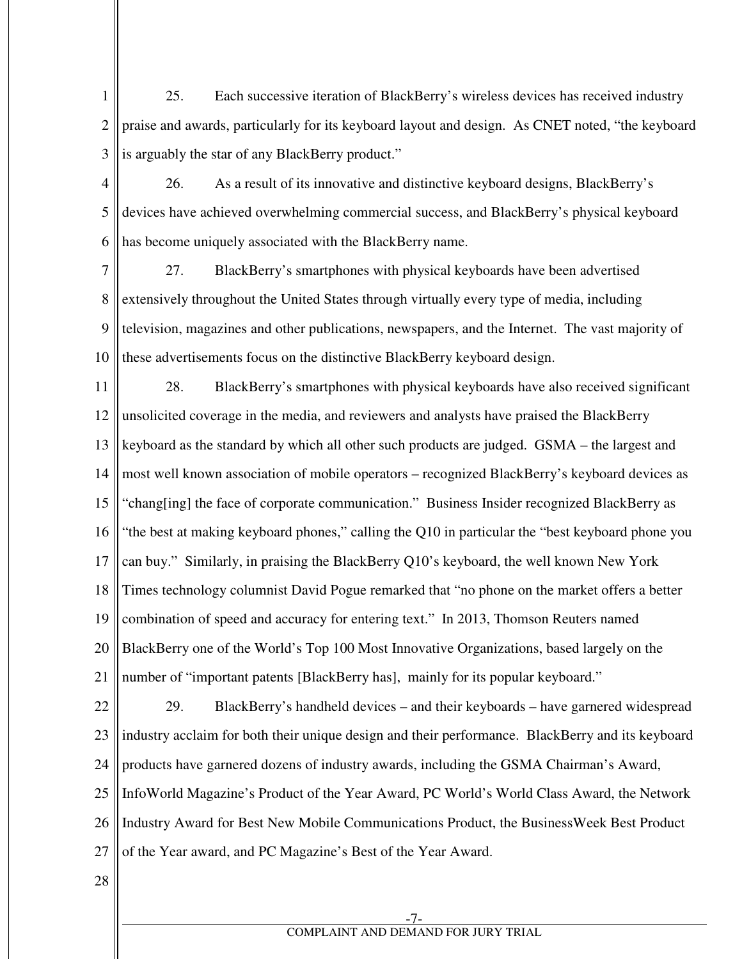1 2 3 25. Each successive iteration of BlackBerry's wireless devices has received industry praise and awards, particularly for its keyboard layout and design. As CNET noted, "the keyboard is arguably the star of any BlackBerry product."

- 4 5 6 26. As a result of its innovative and distinctive keyboard designs, BlackBerry's devices have achieved overwhelming commercial success, and BlackBerry's physical keyboard has become uniquely associated with the BlackBerry name.
- 7 8 9 10 27. BlackBerry's smartphones with physical keyboards have been advertised extensively throughout the United States through virtually every type of media, including television, magazines and other publications, newspapers, and the Internet. The vast majority of these advertisements focus on the distinctive BlackBerry keyboard design.

11 12 13 14 15 16 17 18 19 20 21 28. BlackBerry's smartphones with physical keyboards have also received significant unsolicited coverage in the media, and reviewers and analysts have praised the BlackBerry keyboard as the standard by which all other such products are judged. GSMA – the largest and most well known association of mobile operators – recognized BlackBerry's keyboard devices as "chang[ing] the face of corporate communication." Business Insider recognized BlackBerry as "the best at making keyboard phones," calling the Q10 in particular the "best keyboard phone you can buy." Similarly, in praising the BlackBerry Q10's keyboard, the well known New York Times technology columnist David Pogue remarked that "no phone on the market offers a better combination of speed and accuracy for entering text." In 2013, Thomson Reuters named BlackBerry one of the World's Top 100 Most Innovative Organizations, based largely on the number of "important patents [BlackBerry has], mainly for its popular keyboard."

22 23 24 25 26 27 29. BlackBerry's handheld devices – and their keyboards – have garnered widespread industry acclaim for both their unique design and their performance. BlackBerry and its keyboard products have garnered dozens of industry awards, including the GSMA Chairman's Award, InfoWorld Magazine's Product of the Year Award, PC World's World Class Award, the Network Industry Award for Best New Mobile Communications Product, the BusinessWeek Best Product of the Year award, and PC Magazine's Best of the Year Award.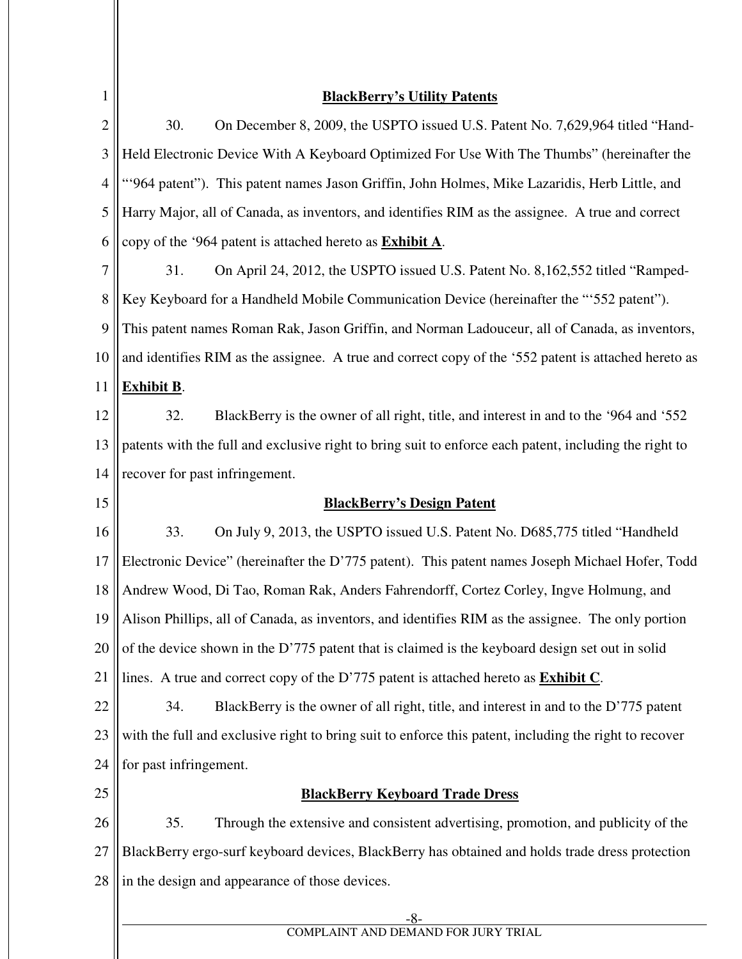| $\mathbf{1}$   | <b>BlackBerry's Utility Patents</b>                                                                    |
|----------------|--------------------------------------------------------------------------------------------------------|
| $\overline{2}$ | 30.<br>On December 8, 2009, the USPTO issued U.S. Patent No. 7,629,964 titled "Hand-                   |
| $\mathfrak{Z}$ | Held Electronic Device With A Keyboard Optimized For Use With The Thumbs" (hereinafter the             |
| $\overline{4}$ | "964 patent"). This patent names Jason Griffin, John Holmes, Mike Lazaridis, Herb Little, and          |
| 5              | Harry Major, all of Canada, as inventors, and identifies RIM as the assignee. A true and correct       |
| 6              | copy of the '964 patent is attached hereto as <b>Exhibit A</b> .                                       |
| $\tau$         | 31.<br>On April 24, 2012, the USPTO issued U.S. Patent No. 8, 162, 552 titled "Ramped-                 |
| 8              | Key Keyboard for a Handheld Mobile Communication Device (hereinafter the "552 patent").                |
| 9              | This patent names Roman Rak, Jason Griffin, and Norman Ladouceur, all of Canada, as inventors,         |
| 10             | and identifies RIM as the assignee. A true and correct copy of the '552 patent is attached hereto as   |
| 11             | <b>Exhibit B.</b>                                                                                      |
| 12             | 32.<br>BlackBerry is the owner of all right, title, and interest in and to the '964 and '552           |
| 13             | patents with the full and exclusive right to bring suit to enforce each patent, including the right to |
| 14             | recover for past infringement.                                                                         |
| 15             | <b>BlackBerry's Design Patent</b>                                                                      |
| 16             | 33.<br>On July 9, 2013, the USPTO issued U.S. Patent No. D685,775 titled "Handheld"                    |
| 17             | Electronic Device" (hereinafter the D'775 patent). This patent names Joseph Michael Hofer, Todd        |
| 18             | Andrew Wood, Di Tao, Roman Rak, Anders Fahrendorff, Cortez Corley, Ingve Holmung, and                  |
| 19             | Alison Phillips, all of Canada, as inventors, and identifies RIM as the assignee. The only portion     |
| 20             | of the device shown in the D'775 patent that is claimed is the keyboard design set out in solid        |
| 21             | lines. A true and correct copy of the D'775 patent is attached hereto as <b>Exhibit C</b> .            |
| 22             | 34.<br>BlackBerry is the owner of all right, title, and interest in and to the D'775 patent            |
| 23             | with the full and exclusive right to bring suit to enforce this patent, including the right to recover |
| 24             | for past infringement.                                                                                 |
| 25             | <b>BlackBerry Keyboard Trade Dress</b>                                                                 |
| 26             | 35.<br>Through the extensive and consistent advertising, promotion, and publicity of the               |
| 27             | BlackBerry ergo-surf keyboard devices, BlackBerry has obtained and holds trade dress protection        |
| 28             | in the design and appearance of those devices.                                                         |
|                | $-8-$                                                                                                  |

COMPLAINT AND DEMAND FOR JURY TRIAL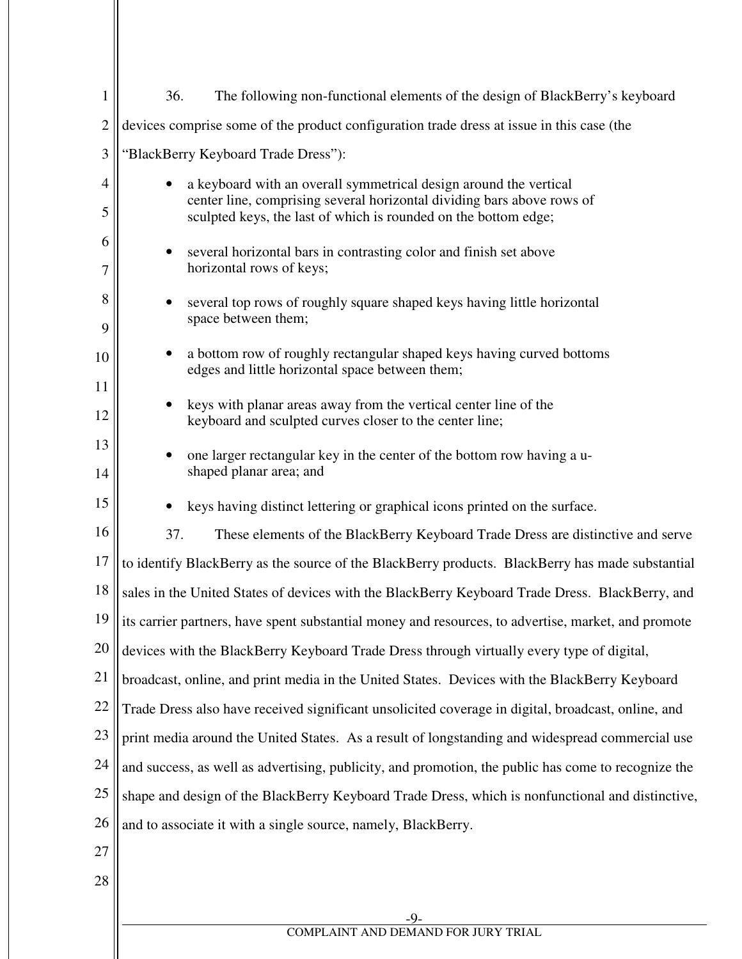| $\mathbf{1}$   | 36.<br>The following non-functional elements of the design of BlackBerry's keyboard                                                       |  |
|----------------|-------------------------------------------------------------------------------------------------------------------------------------------|--|
| $\overline{2}$ | devices comprise some of the product configuration trade dress at issue in this case (the                                                 |  |
| 3              | "BlackBerry Keyboard Trade Dress"):                                                                                                       |  |
| 4              | a keyboard with an overall symmetrical design around the vertical                                                                         |  |
| 5              | center line, comprising several horizontal dividing bars above rows of<br>sculpted keys, the last of which is rounded on the bottom edge; |  |
| 6              | several horizontal bars in contrasting color and finish set above                                                                         |  |
| 7              | horizontal rows of keys;                                                                                                                  |  |
| 8              | several top rows of roughly square shaped keys having little horizontal                                                                   |  |
| 9              | space between them;                                                                                                                       |  |
| 10             | a bottom row of roughly rectangular shaped keys having curved bottoms<br>edges and little horizontal space between them;                  |  |
| 11             |                                                                                                                                           |  |
| 12             | keys with planar areas away from the vertical center line of the<br>keyboard and sculpted curves closer to the center line;               |  |
| 13             | one larger rectangular key in the center of the bottom row having a u-                                                                    |  |
| 14             | shaped planar area; and                                                                                                                   |  |
| 15             | keys having distinct lettering or graphical icons printed on the surface.                                                                 |  |
| 16             | 37.<br>These elements of the BlackBerry Keyboard Trade Dress are distinctive and serve                                                    |  |
| 17             | to identify BlackBerry as the source of the BlackBerry products. BlackBerry has made substantial                                          |  |
| 18             | sales in the United States of devices with the BlackBerry Keyboard Trade Dress. BlackBerry, and                                           |  |
| 19             | its carrier partners, have spent substantial money and resources, to advertise, market, and promote                                       |  |
| 20             | devices with the BlackBerry Keyboard Trade Dress through virtually every type of digital,                                                 |  |
| 21             | broadcast, online, and print media in the United States. Devices with the BlackBerry Keyboard                                             |  |
| 22             | Trade Dress also have received significant unsolicited coverage in digital, broadcast, online, and                                        |  |
| 23             | print media around the United States. As a result of longstanding and widespread commercial use                                           |  |
| 24             | and success, as well as advertising, publicity, and promotion, the public has come to recognize the                                       |  |
| 25             | shape and design of the BlackBerry Keyboard Trade Dress, which is nonfunctional and distinctive,                                          |  |
| 26             | and to associate it with a single source, namely, BlackBerry.                                                                             |  |
| 27             |                                                                                                                                           |  |
| 28             |                                                                                                                                           |  |
|                |                                                                                                                                           |  |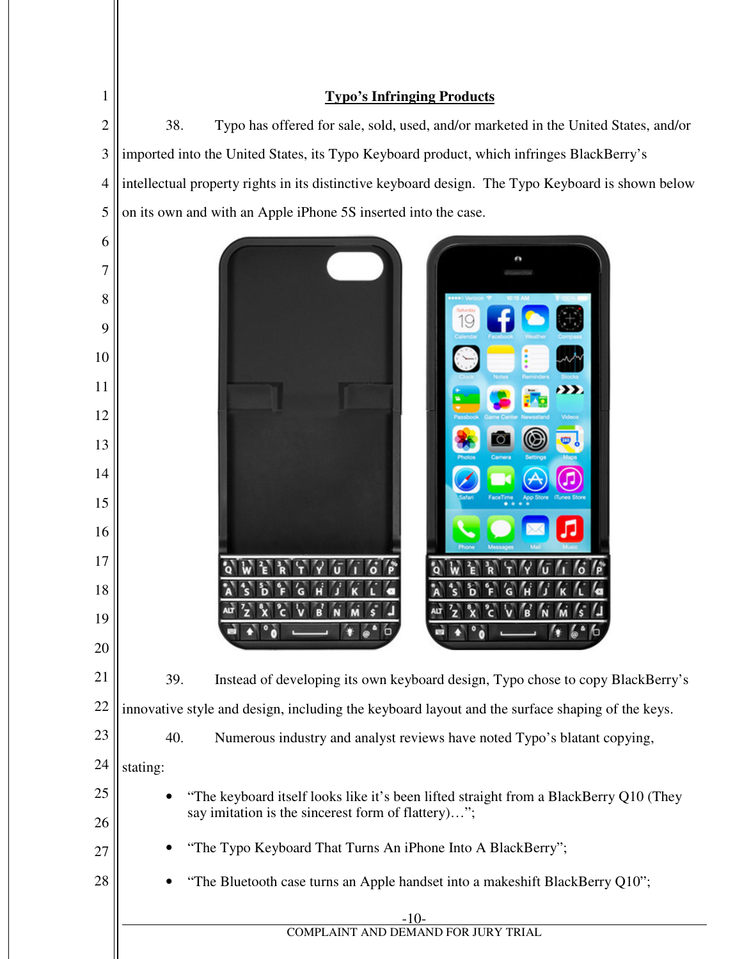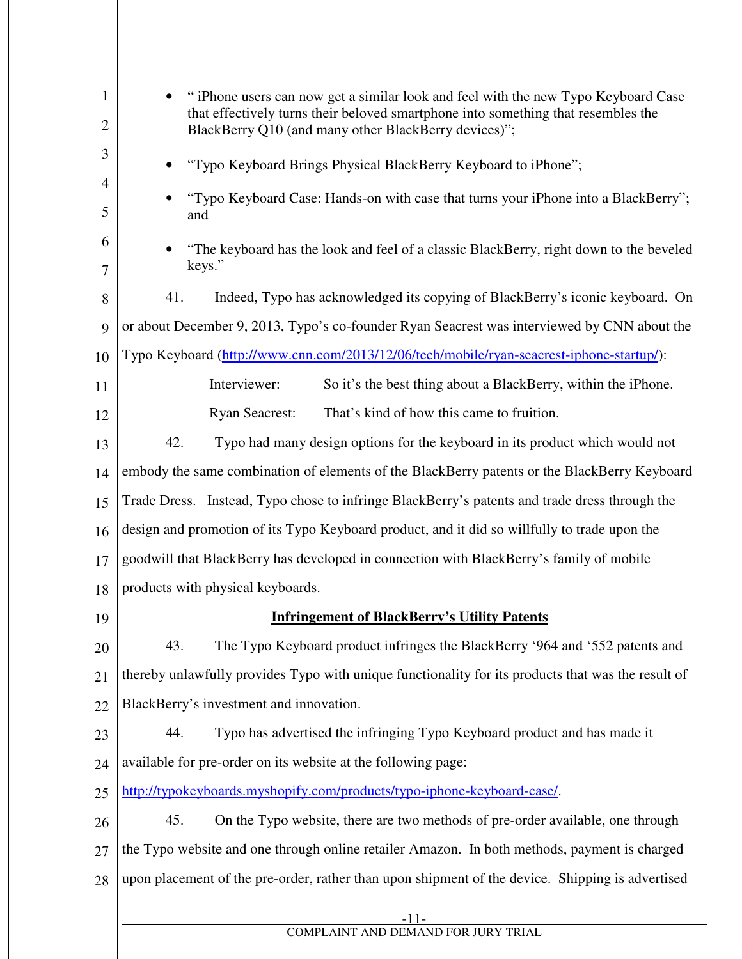| $\mathbf{1}$<br>$\overline{2}$ | "iPhone users can now get a similar look and feel with the new Typo Keyboard Case<br>that effectively turns their beloved smartphone into something that resembles the<br>BlackBerry Q10 (and many other BlackBerry devices)"; |
|--------------------------------|--------------------------------------------------------------------------------------------------------------------------------------------------------------------------------------------------------------------------------|
| 3                              | "Typo Keyboard Brings Physical BlackBerry Keyboard to iPhone";                                                                                                                                                                 |
| 4<br>5                         | "Typo Keyboard Case: Hands-on with case that turns your iPhone into a BlackBerry";<br>and                                                                                                                                      |
| 6<br>7                         | "The keyboard has the look and feel of a classic BlackBerry, right down to the beveled<br>keys."                                                                                                                               |
| 8                              | 41.<br>Indeed, Typo has acknowledged its copying of BlackBerry's iconic keyboard. On                                                                                                                                           |
| 9                              | or about December 9, 2013, Typo's co-founder Ryan Seacrest was interviewed by CNN about the                                                                                                                                    |
| 10                             | Typo Keyboard (http://www.cnn.com/2013/12/06/tech/mobile/ryan-seacrest-iphone-startup/):                                                                                                                                       |
| 11                             | Interviewer:<br>So it's the best thing about a BlackBerry, within the iPhone.                                                                                                                                                  |
| 12                             | That's kind of how this came to fruition.<br><b>Ryan Seacrest:</b>                                                                                                                                                             |
| 13                             | 42.<br>Typo had many design options for the keyboard in its product which would not                                                                                                                                            |
| 14                             | embody the same combination of elements of the BlackBerry patents or the BlackBerry Keyboard                                                                                                                                   |
| 15                             | Trade Dress. Instead, Typo chose to infringe BlackBerry's patents and trade dress through the                                                                                                                                  |
| 16                             | design and promotion of its Typo Keyboard product, and it did so willfully to trade upon the                                                                                                                                   |
| 17                             | goodwill that BlackBerry has developed in connection with BlackBerry's family of mobile                                                                                                                                        |
| 18                             | products with physical keyboards.                                                                                                                                                                                              |
| 19                             | <b>Infringement of BlackBerry's Utility Patents</b>                                                                                                                                                                            |
| 20                             | 43.<br>The Typo Keyboard product infringes the BlackBerry '964 and '552 patents and                                                                                                                                            |
| 21                             | thereby unlawfully provides Typo with unique functionality for its products that was the result of                                                                                                                             |
| 22                             | BlackBerry's investment and innovation.                                                                                                                                                                                        |
| 23                             | Typo has advertised the infringing Typo Keyboard product and has made it<br>44.                                                                                                                                                |
| 24                             | available for pre-order on its website at the following page:                                                                                                                                                                  |
| 25                             | http://typokeyboards.myshopify.com/products/typo-iphone-keyboard-case/.                                                                                                                                                        |
| 26                             | 45.<br>On the Typo website, there are two methods of pre-order available, one through                                                                                                                                          |
| 27                             | the Typo website and one through online retailer Amazon. In both methods, payment is charged                                                                                                                                   |
| 28                             | upon placement of the pre-order, rather than upon shipment of the device. Shipping is advertised                                                                                                                               |
|                                | -11-<br>COMPLAINT AND DEMAND FOR JURY TRIAL                                                                                                                                                                                    |
|                                |                                                                                                                                                                                                                                |
|                                |                                                                                                                                                                                                                                |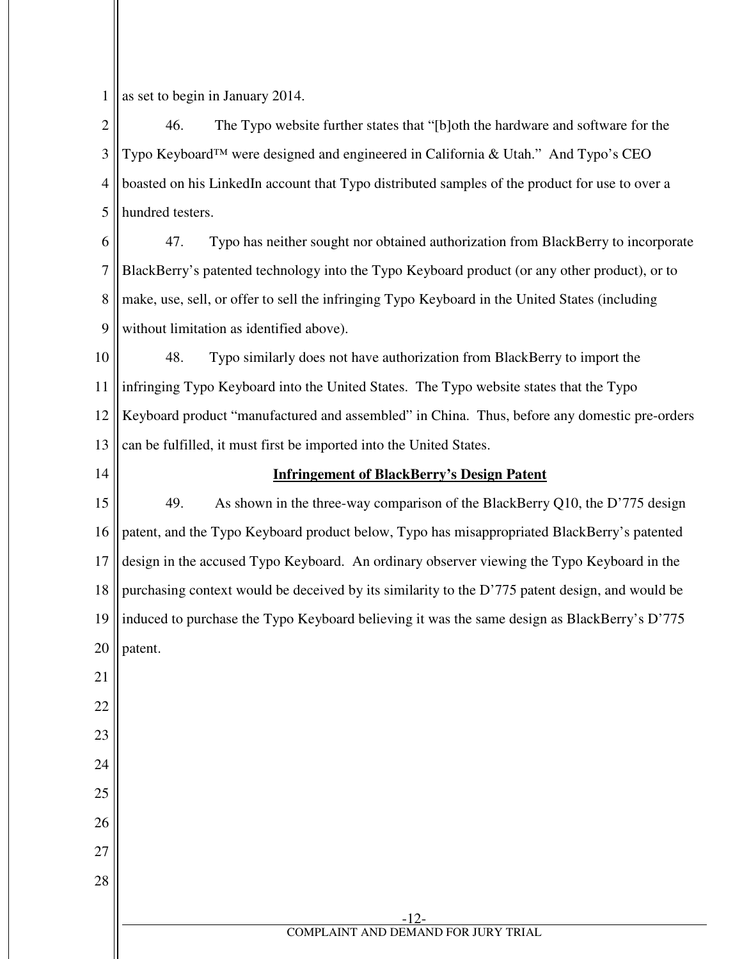1 as set to begin in January 2014.

2 3 4 5 46. The Typo website further states that "[b]oth the hardware and software for the Typo Keyboard™ were designed and engineered in California & Utah." And Typo's CEO boasted on his LinkedIn account that Typo distributed samples of the product for use to over a hundred testers.

6 7 8 9 47. Typo has neither sought nor obtained authorization from BlackBerry to incorporate BlackBerry's patented technology into the Typo Keyboard product (or any other product), or to make, use, sell, or offer to sell the infringing Typo Keyboard in the United States (including without limitation as identified above).

10 11 12 13 48. Typo similarly does not have authorization from BlackBerry to import the infringing Typo Keyboard into the United States. The Typo website states that the Typo Keyboard product "manufactured and assembled" in China. Thus, before any domestic pre-orders can be fulfilled, it must first be imported into the United States.

14

## **Infringement of BlackBerry's Design Patent**

15 16 17 18 19 20 49. As shown in the three-way comparison of the BlackBerry Q10, the D'775 design patent, and the Typo Keyboard product below, Typo has misappropriated BlackBerry's patented design in the accused Typo Keyboard. An ordinary observer viewing the Typo Keyboard in the purchasing context would be deceived by its similarity to the D'775 patent design, and would be induced to purchase the Typo Keyboard believing it was the same design as BlackBerry's D'775 patent.

21 22

23

24

25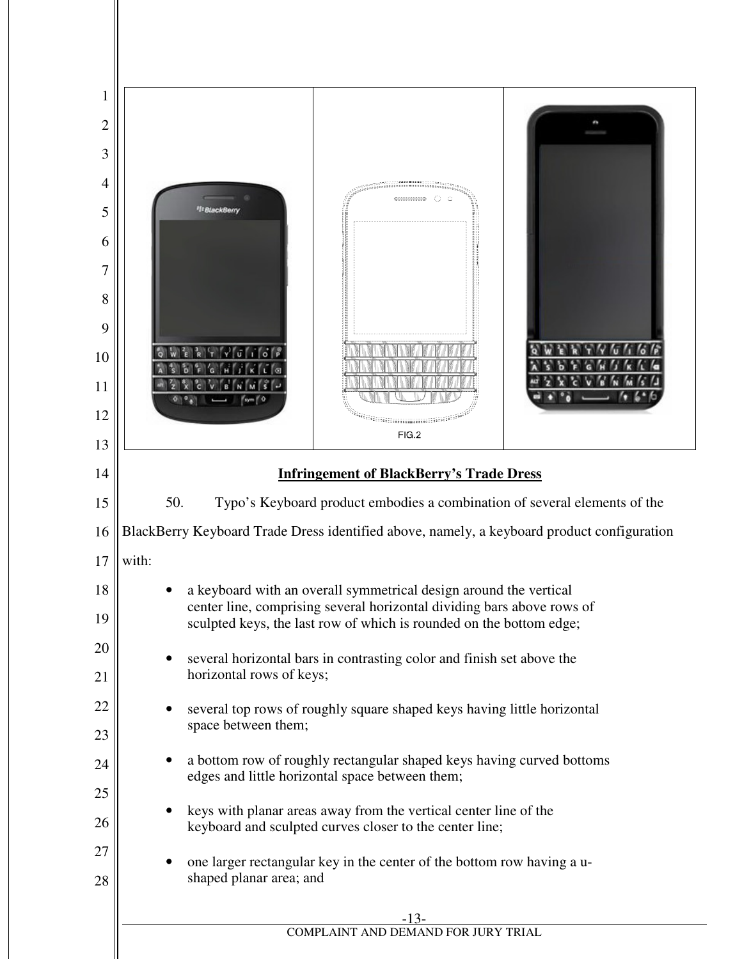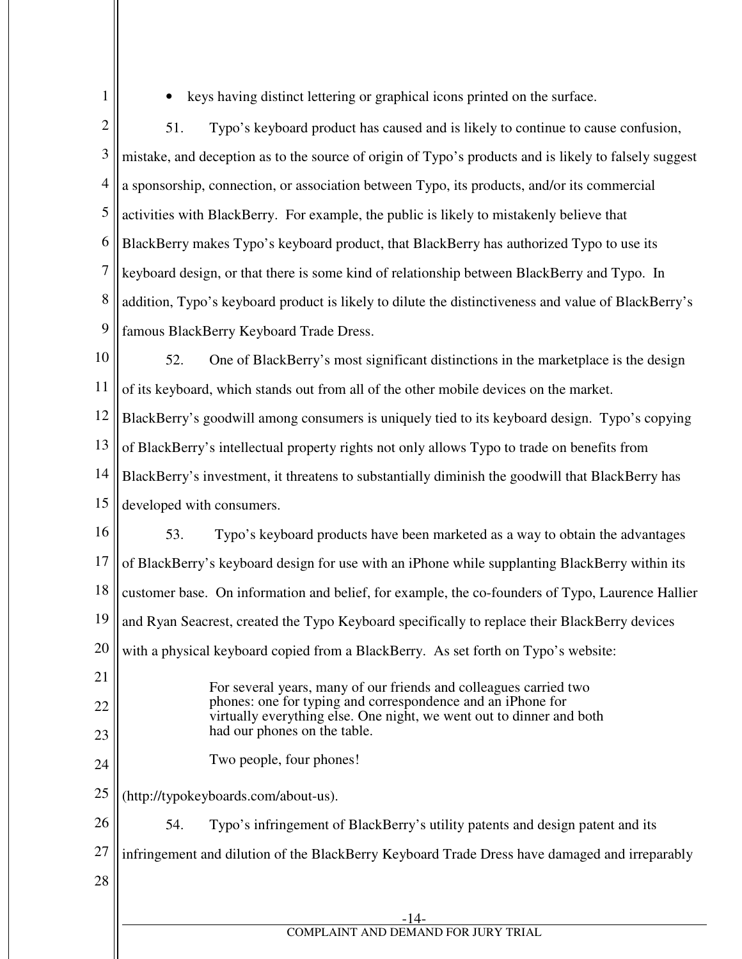1

• keys having distinct lettering or graphical icons printed on the surface.

2 3 4 5 6 7 8 9 51. Typo's keyboard product has caused and is likely to continue to cause confusion, mistake, and deception as to the source of origin of Typo's products and is likely to falsely suggest a sponsorship, connection, or association between Typo, its products, and/or its commercial activities with BlackBerry. For example, the public is likely to mistakenly believe that BlackBerry makes Typo's keyboard product, that BlackBerry has authorized Typo to use its keyboard design, or that there is some kind of relationship between BlackBerry and Typo. In addition, Typo's keyboard product is likely to dilute the distinctiveness and value of BlackBerry's famous BlackBerry Keyboard Trade Dress.

10 11 52. One of BlackBerry's most significant distinctions in the marketplace is the design of its keyboard, which stands out from all of the other mobile devices on the market.

12 BlackBerry's goodwill among consumers is uniquely tied to its keyboard design. Typo's copying

13 of BlackBerry's intellectual property rights not only allows Typo to trade on benefits from

14 BlackBerry's investment, it threatens to substantially diminish the goodwill that BlackBerry has

15 developed with consumers.

16 17 18 19 20 21 22 23 24 25 26 27 53. Typo's keyboard products have been marketed as a way to obtain the advantages of BlackBerry's keyboard design for use with an iPhone while supplanting BlackBerry within its customer base. On information and belief, for example, the co-founders of Typo, Laurence Hallier and Ryan Seacrest, created the Typo Keyboard specifically to replace their BlackBerry devices with a physical keyboard copied from a BlackBerry. As set forth on Typo's website: For several years, many of our friends and colleagues carried two phones: one for typing and correspondence and an iPhone for virtually everything else. One night, we went out to dinner and both had our phones on the table. Two people, four phones! (http://typokeyboards.com/about-us). 54. Typo's infringement of BlackBerry's utility patents and design patent and its infringement and dilution of the BlackBerry Keyboard Trade Dress have damaged and irreparably

28

-14- COMPLAINT AND DEMAND FOR JURY TRIAL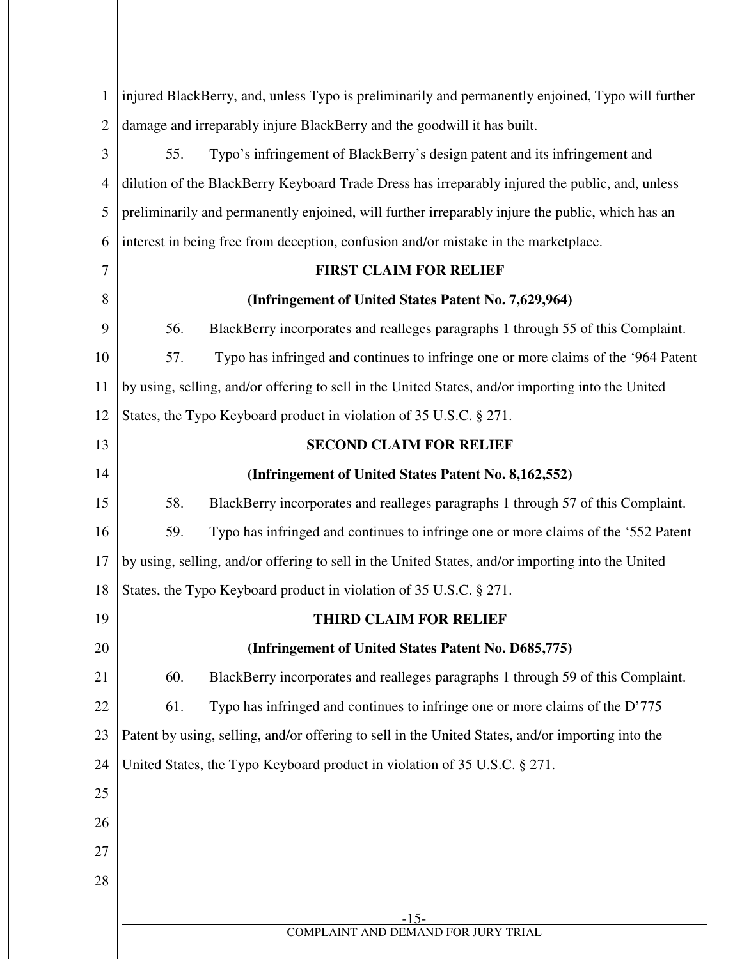| $\mathbf 1$    |     | injured BlackBerry, and, unless Typo is preliminarily and permanently enjoined, Typo will further |
|----------------|-----|---------------------------------------------------------------------------------------------------|
| $\overline{2}$ |     | damage and irreparably injure BlackBerry and the goodwill it has built.                           |
| 3              | 55. | Typo's infringement of BlackBerry's design patent and its infringement and                        |
| $\overline{4}$ |     | dilution of the BlackBerry Keyboard Trade Dress has irreparably injured the public, and, unless   |
| 5              |     | preliminarily and permanently enjoined, will further irreparably injure the public, which has an  |
| 6              |     | interest in being free from deception, confusion and/or mistake in the marketplace.               |
| 7              |     | <b>FIRST CLAIM FOR RELIEF</b>                                                                     |
| 8              |     | (Infringement of United States Patent No. 7,629,964)                                              |
| 9              | 56. | BlackBerry incorporates and realleges paragraphs 1 through 55 of this Complaint.                  |
| 10             | 57. | Typo has infringed and continues to infringe one or more claims of the '964 Patent                |
| 11             |     | by using, selling, and/or offering to sell in the United States, and/or importing into the United |
| 12             |     | States, the Typo Keyboard product in violation of 35 U.S.C. § 271.                                |
| 13             |     | <b>SECOND CLAIM FOR RELIEF</b>                                                                    |
| 14             |     | (Infringement of United States Patent No. 8,162,552)                                              |
| 15             | 58. | BlackBerry incorporates and realleges paragraphs 1 through 57 of this Complaint.                  |
| 16             | 59. | Typo has infringed and continues to infringe one or more claims of the '552 Patent                |
| 17             |     | by using, selling, and/or offering to sell in the United States, and/or importing into the United |
| 18             |     | States, the Typo Keyboard product in violation of 35 U.S.C. § 271.                                |
| 19             |     | <b>THIRD CLAIM FOR RELIEF</b>                                                                     |
| 20             |     | (Infringement of United States Patent No. D685,775)                                               |
| 21             | 60. | BlackBerry incorporates and realleges paragraphs 1 through 59 of this Complaint.                  |
| 22             | 61. | Typo has infringed and continues to infringe one or more claims of the D'775                      |
| 23             |     | Patent by using, selling, and/or offering to sell in the United States, and/or importing into the |
| 24             |     | United States, the Typo Keyboard product in violation of 35 U.S.C. § 271.                         |
| 25             |     |                                                                                                   |
| 26             |     |                                                                                                   |
| 27             |     |                                                                                                   |
| 28             |     |                                                                                                   |
|                |     | $-15-$                                                                                            |
|                |     | COMPLAINT AND DEMAND FOR JURY TRIAL                                                               |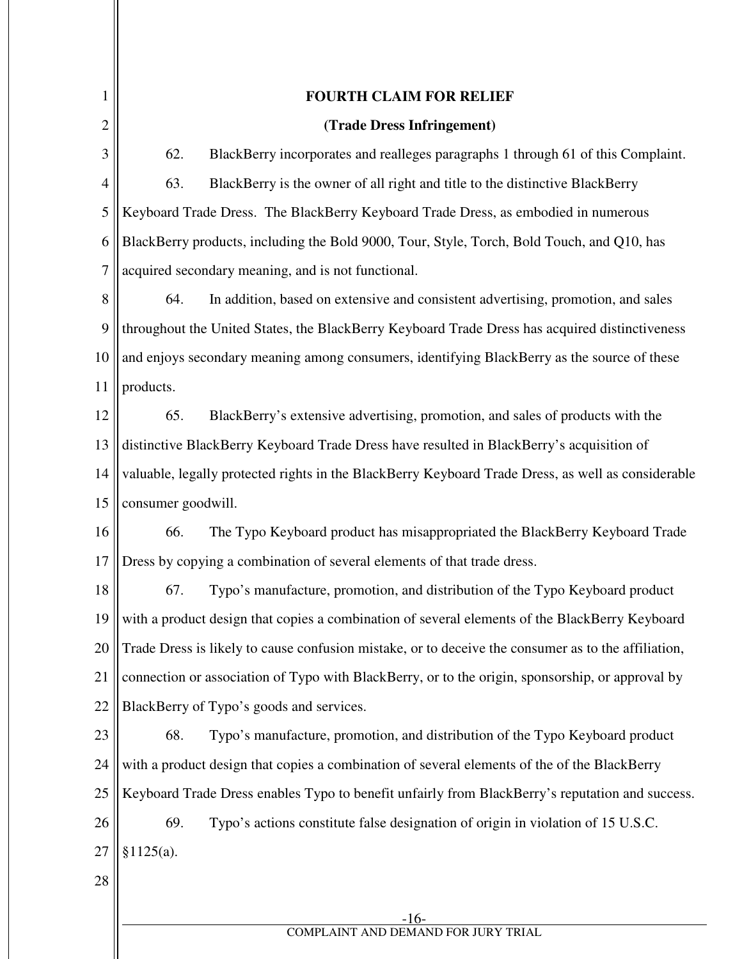| 1              | <b>FOURTH CLAIM FOR RELIEF</b>                                                                      |
|----------------|-----------------------------------------------------------------------------------------------------|
| $\overline{2}$ | (Trade Dress Infringement)                                                                          |
| 3              | 62.<br>BlackBerry incorporates and realleges paragraphs 1 through 61 of this Complaint.             |
| $\overline{4}$ | 63.<br>BlackBerry is the owner of all right and title to the distinctive BlackBerry                 |
| 5              | Keyboard Trade Dress. The BlackBerry Keyboard Trade Dress, as embodied in numerous                  |
| 6              | BlackBerry products, including the Bold 9000, Tour, Style, Torch, Bold Touch, and Q10, has          |
| $\tau$         | acquired secondary meaning, and is not functional.                                                  |
| 8              | 64.<br>In addition, based on extensive and consistent advertising, promotion, and sales             |
| 9              | throughout the United States, the BlackBerry Keyboard Trade Dress has acquired distinctiveness      |
| 10             | and enjoys secondary meaning among consumers, identifying BlackBerry as the source of these         |
| 11             | products.                                                                                           |
| 12             | 65.<br>BlackBerry's extensive advertising, promotion, and sales of products with the                |
| 13             | distinctive BlackBerry Keyboard Trade Dress have resulted in BlackBerry's acquisition of            |
| 14             | valuable, legally protected rights in the BlackBerry Keyboard Trade Dress, as well as considerable  |
| 15             | consumer goodwill.                                                                                  |
| 16             | 66.<br>The Typo Keyboard product has misappropriated the BlackBerry Keyboard Trade                  |
| 17             | Dress by copying a combination of several elements of that trade dress.                             |
| 18             | 67.<br>Typo's manufacture, promotion, and distribution of the Typo Keyboard product                 |
| 19             | with a product design that copies a combination of several elements of the BlackBerry Keyboard      |
| 20             | Trade Dress is likely to cause confusion mistake, or to deceive the consumer as to the affiliation, |
| 21             | connection or association of Typo with BlackBerry, or to the origin, sponsorship, or approval by    |
| 22             | BlackBerry of Typo's goods and services.                                                            |
| 23             | Typo's manufacture, promotion, and distribution of the Typo Keyboard product<br>68.                 |
| 24             | with a product design that copies a combination of several elements of the of the BlackBerry        |
| 25             | Keyboard Trade Dress enables Typo to benefit unfairly from BlackBerry's reputation and success.     |
| 26             | 69.<br>Typo's actions constitute false designation of origin in violation of 15 U.S.C.              |
| 27             | §1125(a).                                                                                           |
| 28             |                                                                                                     |
|                |                                                                                                     |

-16- COMPLAINT AND DEMAND FOR JURY TRIAL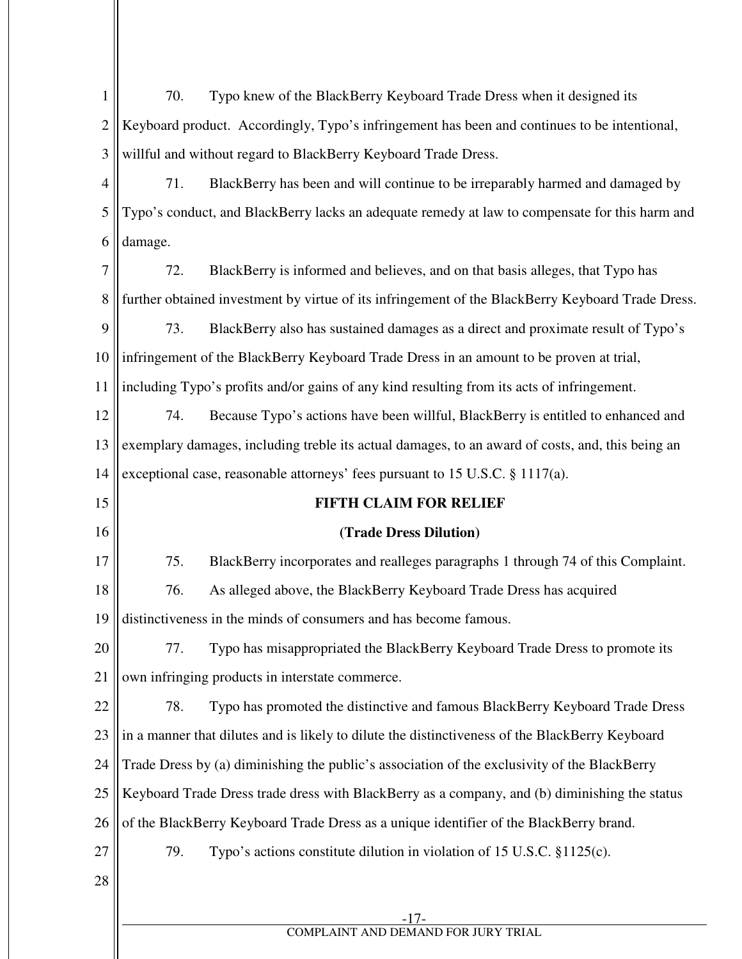| $\mathbf{1}$   | Typo knew of the BlackBerry Keyboard Trade Dress when it designed its<br>70.                      |
|----------------|---------------------------------------------------------------------------------------------------|
| 2              | Keyboard product. Accordingly, Typo's infringement has been and continues to be intentional,      |
| 3              | willful and without regard to BlackBerry Keyboard Trade Dress.                                    |
| $\overline{4}$ | 71.<br>BlackBerry has been and will continue to be irreparably harmed and damaged by              |
| 5              | Typo's conduct, and BlackBerry lacks an adequate remedy at law to compensate for this harm and    |
| 6              | damage.                                                                                           |
| $\overline{7}$ | BlackBerry is informed and believes, and on that basis alleges, that Typo has<br>72.              |
| 8              | further obtained investment by virtue of its infringement of the BlackBerry Keyboard Trade Dress. |
| 9              | 73.<br>BlackBerry also has sustained damages as a direct and proximate result of Typo's           |
| 10             | infringement of the BlackBerry Keyboard Trade Dress in an amount to be proven at trial,           |
| 11             | including Typo's profits and/or gains of any kind resulting from its acts of infringement.        |
| 12             | Because Typo's actions have been willful, BlackBerry is entitled to enhanced and<br>74.           |
| 13             | exemplary damages, including treble its actual damages, to an award of costs, and, this being an  |
| 14             | exceptional case, reasonable attorneys' fees pursuant to 15 U.S.C. § 1117(a).                     |
| 15             | <b>FIFTH CLAIM FOR RELIEF</b>                                                                     |
| 16             | (Trade Dress Dilution)                                                                            |
| 17             | 75.<br>BlackBerry incorporates and realleges paragraphs 1 through 74 of this Complaint.           |
| 18             | 76.<br>As alleged above, the BlackBerry Keyboard Trade Dress has acquired                         |
| 19             | distinctiveness in the minds of consumers and has become famous.                                  |
| 20             | Typo has misappropriated the BlackBerry Keyboard Trade Dress to promote its<br>77.                |
| 21             | own infringing products in interstate commerce.                                                   |
| 22             | 78.<br>Typo has promoted the distinctive and famous BlackBerry Keyboard Trade Dress               |
| 23             | in a manner that dilutes and is likely to dilute the distinctiveness of the BlackBerry Keyboard   |
| 24             | Trade Dress by (a) diminishing the public's association of the exclusivity of the BlackBerry      |
| 25             | Keyboard Trade Dress trade dress with BlackBerry as a company, and (b) diminishing the status     |
| 26             | of the BlackBerry Keyboard Trade Dress as a unique identifier of the BlackBerry brand.            |
|                |                                                                                                   |
| 27             | 79.<br>Typo's actions constitute dilution in violation of 15 U.S.C. §1125(c).                     |
| 28             |                                                                                                   |
|                | $-17-$<br>COMPLAINT AND DEMAND FOR JURY TRIAL                                                     |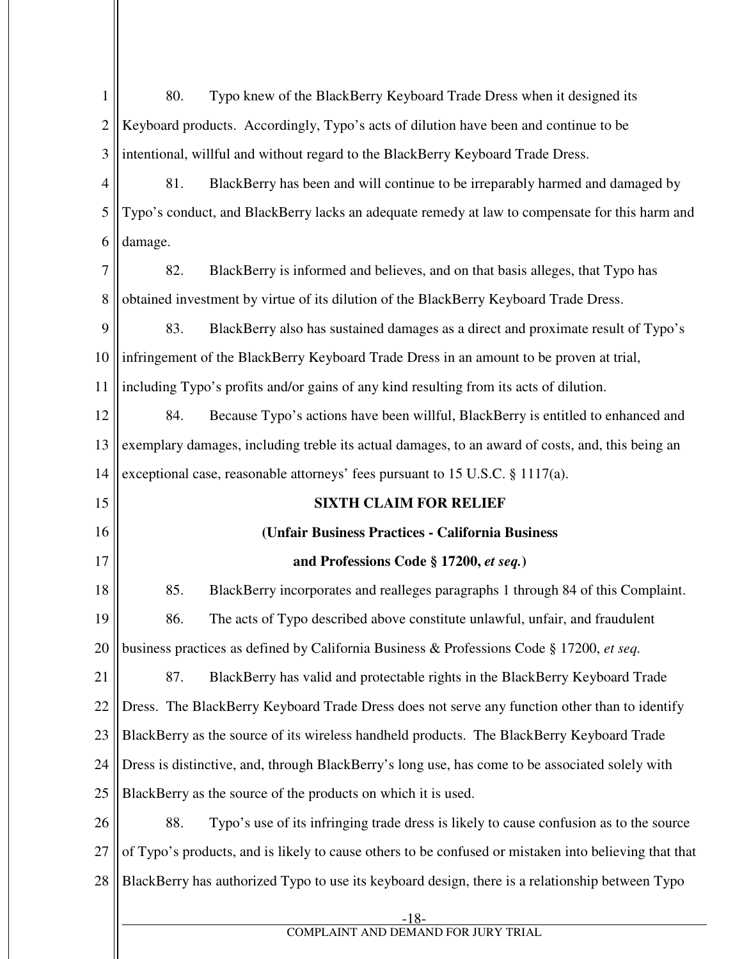| 1              | 80.<br>Typo knew of the BlackBerry Keyboard Trade Dress when it designed its                          |
|----------------|-------------------------------------------------------------------------------------------------------|
| $\overline{2}$ | Keyboard products. Accordingly, Typo's acts of dilution have been and continue to be                  |
| 3              | intentional, willful and without regard to the BlackBerry Keyboard Trade Dress.                       |
| $\overline{4}$ | 81.<br>BlackBerry has been and will continue to be irreparably harmed and damaged by                  |
| 5              | Typo's conduct, and BlackBerry lacks an adequate remedy at law to compensate for this harm and        |
| 6              | damage.                                                                                               |
| 7              | 82.<br>BlackBerry is informed and believes, and on that basis alleges, that Typo has                  |
| 8              | obtained investment by virtue of its dilution of the BlackBerry Keyboard Trade Dress.                 |
| 9              | 83.<br>BlackBerry also has sustained damages as a direct and proximate result of Typo's               |
| 10             | infringement of the BlackBerry Keyboard Trade Dress in an amount to be proven at trial,               |
| 11             | including Typo's profits and/or gains of any kind resulting from its acts of dilution.                |
| 12             | 84.<br>Because Typo's actions have been willful, BlackBerry is entitled to enhanced and               |
| 13             | exemplary damages, including treble its actual damages, to an award of costs, and, this being an      |
| 14             | exceptional case, reasonable attorneys' fees pursuant to 15 U.S.C. § 1117(a).                         |
| 15             | <b>SIXTH CLAIM FOR RELIEF</b>                                                                         |
|                |                                                                                                       |
| 16             | (Unfair Business Practices - California Business                                                      |
| 17             | and Professions Code § 17200, et seq.)                                                                |
| 18             | 85.<br>BlackBerry incorporates and realleges paragraphs 1 through 84 of this Complaint.               |
| 19             | 86.<br>The acts of Typo described above constitute unlawful, unfair, and fraudulent                   |
| 20             | business practices as defined by California Business & Professions Code § 17200, et seq.              |
| 21             | 87.<br>BlackBerry has valid and protectable rights in the BlackBerry Keyboard Trade                   |
| 22             | Dress. The BlackBerry Keyboard Trade Dress does not serve any function other than to identify         |
| 23             | BlackBerry as the source of its wireless handheld products. The BlackBerry Keyboard Trade             |
| 24             | Dress is distinctive, and, through BlackBerry's long use, has come to be associated solely with       |
| 25             | BlackBerry as the source of the products on which it is used.                                         |
| 26             | Typo's use of its infringing trade dress is likely to cause confusion as to the source<br>88.         |
| 27             | of Typo's products, and is likely to cause others to be confused or mistaken into believing that that |
| 28             | BlackBerry has authorized Typo to use its keyboard design, there is a relationship between Typo       |
|                | -18-<br>COMPLAINT AND DEMAND FOR JURY TRIAL                                                           |

Ш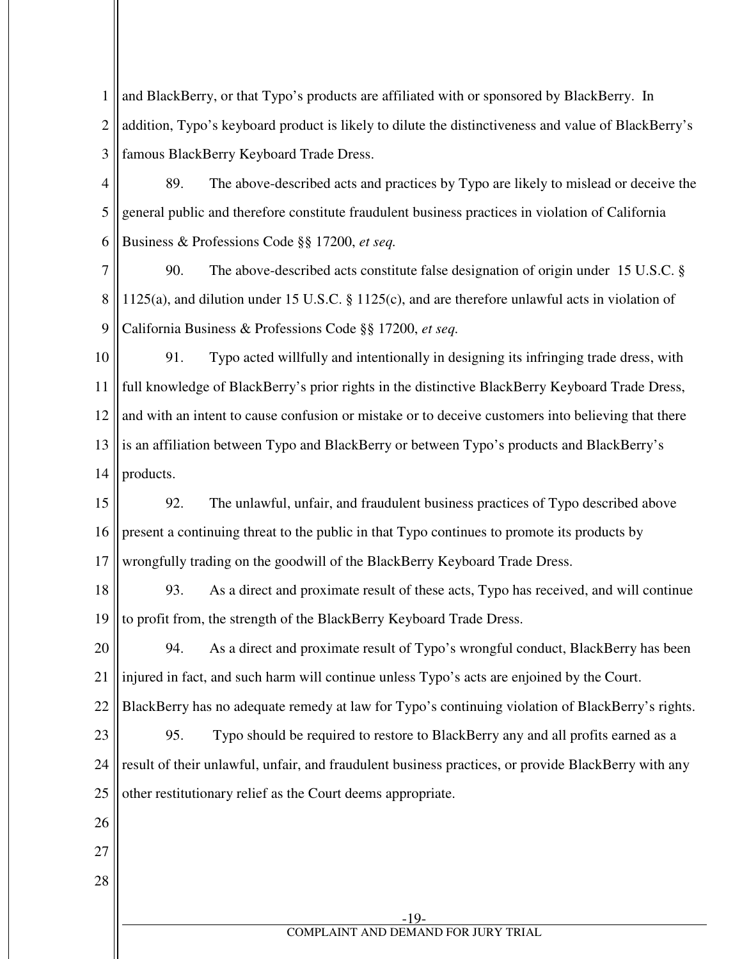1 2 3 and BlackBerry, or that Typo's products are affiliated with or sponsored by BlackBerry. In addition, Typo's keyboard product is likely to dilute the distinctiveness and value of BlackBerry's famous BlackBerry Keyboard Trade Dress.

4 5 6 89. The above-described acts and practices by Typo are likely to mislead or deceive the general public and therefore constitute fraudulent business practices in violation of California Business & Professions Code §§ 17200, *et seq.* 

7 8 9 90. The above-described acts constitute false designation of origin under 15 U.S.C. § 1125(a), and dilution under 15 U.S.C. § 1125(c), and are therefore unlawful acts in violation of California Business & Professions Code §§ 17200, *et seq.* 

10 11 12 13 14 91. Typo acted willfully and intentionally in designing its infringing trade dress, with full knowledge of BlackBerry's prior rights in the distinctive BlackBerry Keyboard Trade Dress, and with an intent to cause confusion or mistake or to deceive customers into believing that there is an affiliation between Typo and BlackBerry or between Typo's products and BlackBerry's products.

15 16 17 92. The unlawful, unfair, and fraudulent business practices of Typo described above present a continuing threat to the public in that Typo continues to promote its products by wrongfully trading on the goodwill of the BlackBerry Keyboard Trade Dress.

18 19 93. As a direct and proximate result of these acts, Typo has received, and will continue to profit from, the strength of the BlackBerry Keyboard Trade Dress.

20 21 94. As a direct and proximate result of Typo's wrongful conduct, BlackBerry has been injured in fact, and such harm will continue unless Typo's acts are enjoined by the Court.

22 BlackBerry has no adequate remedy at law for Typo's continuing violation of BlackBerry's rights.

23 24 25 95. Typo should be required to restore to BlackBerry any and all profits earned as a result of their unlawful, unfair, and fraudulent business practices, or provide BlackBerry with any other restitutionary relief as the Court deems appropriate.

- 27
- 28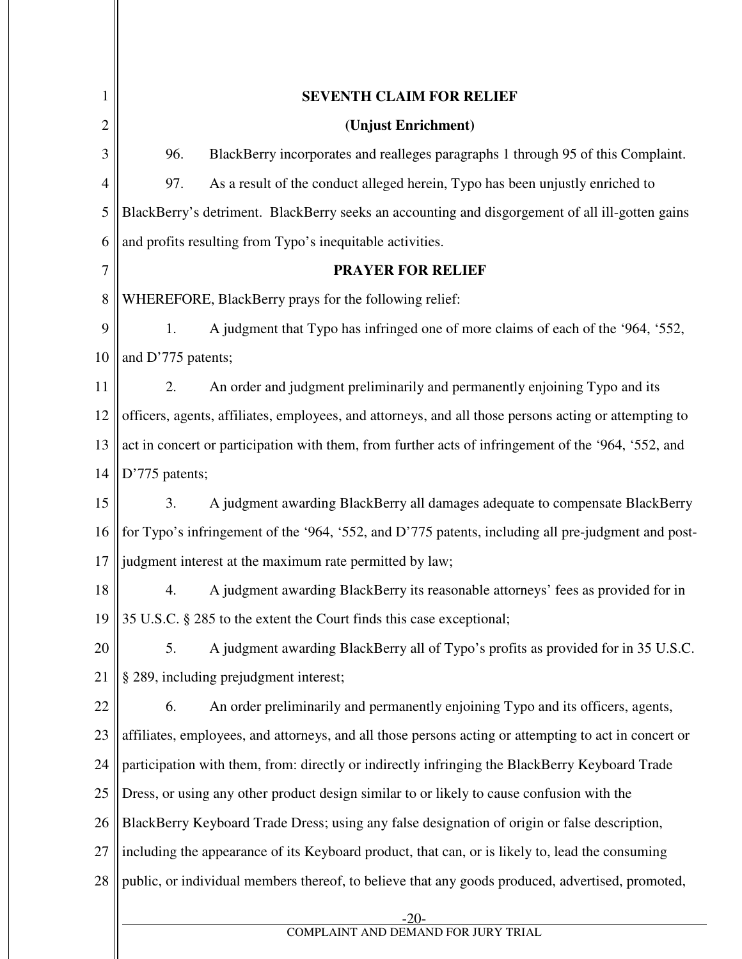| 1              | <b>SEVENTH CLAIM FOR RELIEF</b>                                                                       |
|----------------|-------------------------------------------------------------------------------------------------------|
| $\overline{2}$ | (Unjust Enrichment)                                                                                   |
| 3              | 96.<br>BlackBerry incorporates and realleges paragraphs 1 through 95 of this Complaint.               |
| 4              | As a result of the conduct alleged herein, Typo has been unjustly enriched to<br>97.                  |
| 5              | BlackBerry's detriment. BlackBerry seeks an accounting and disgorgement of all ill-gotten gains       |
| 6              | and profits resulting from Typo's inequitable activities.                                             |
| $\tau$         | <b>PRAYER FOR RELIEF</b>                                                                              |
| 8              | WHEREFORE, BlackBerry prays for the following relief:                                                 |
| 9              | A judgment that Typo has infringed one of more claims of each of the '964, '552,<br>1.                |
| 10             | and D'775 patents;                                                                                    |
| 11             | An order and judgment preliminarily and permanently enjoining Typo and its<br>2.                      |
| 12             | officers, agents, affiliates, employees, and attorneys, and all those persons acting or attempting to |
| 13             | act in concert or participation with them, from further acts of infringement of the '964, '552, and   |
| 14             | D'775 patents;                                                                                        |
| 15             | 3.<br>A judgment awarding BlackBerry all damages adequate to compensate BlackBerry                    |
| 16             | for Typo's infringement of the '964, '552, and D'775 patents, including all pre-judgment and post-    |
| 17             | judgment interest at the maximum rate permitted by law;                                               |
| 18             | A judgment awarding BlackBerry its reasonable attorneys' fees as provided for in<br>4.                |
| 19             | 35 U.S.C. § 285 to the extent the Court finds this case exceptional;                                  |
| 20             | 5.<br>A judgment awarding BlackBerry all of Typo's profits as provided for in 35 U.S.C.               |
| 21             | § 289, including prejudgment interest;                                                                |
| 22             | An order preliminarily and permanently enjoining Typo and its officers, agents,<br>6.                 |
| 23             | affiliates, employees, and attorneys, and all those persons acting or attempting to act in concert or |
| 24             | participation with them, from: directly or indirectly infringing the BlackBerry Keyboard Trade        |
| 25             | Dress, or using any other product design similar to or likely to cause confusion with the             |
| 26             | BlackBerry Keyboard Trade Dress; using any false designation of origin or false description,          |
| 27             | including the appearance of its Keyboard product, that can, or is likely to, lead the consuming       |
| 28             | public, or individual members thereof, to believe that any goods produced, advertised, promoted,      |
|                |                                                                                                       |
|                | -20-<br>COMPLAINT AND DEMAND FOR JURY TRIAL                                                           |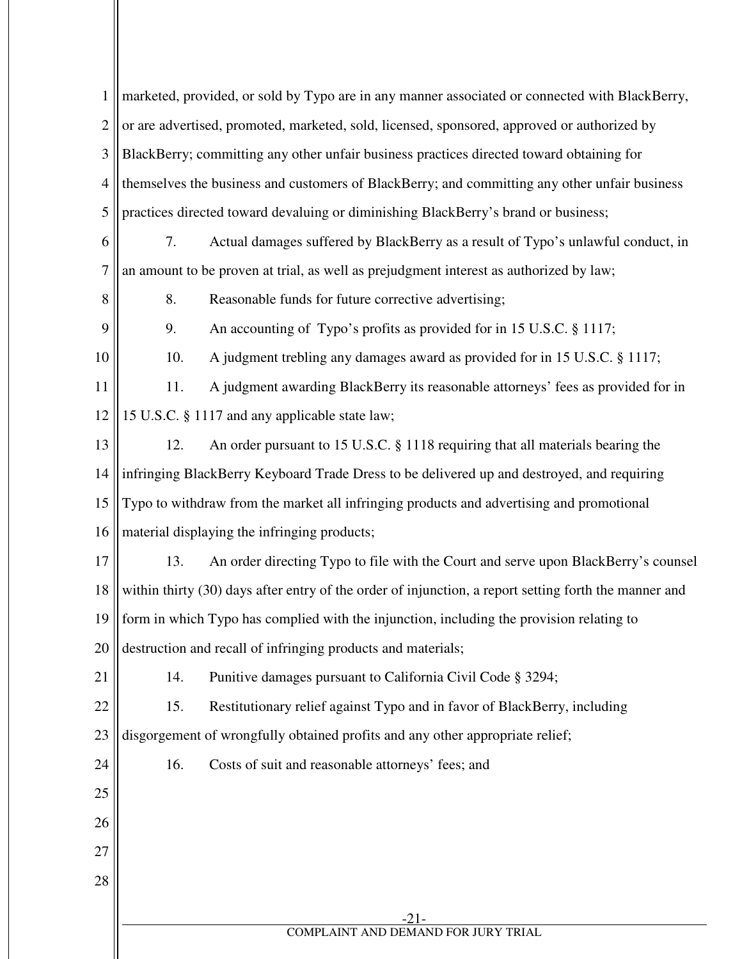| $\mathbf{1}$   | marketed, provided, or sold by Typo are in any manner associated or connected with BlackBerry,        |
|----------------|-------------------------------------------------------------------------------------------------------|
| $\overline{2}$ | or are advertised, promoted, marketed, sold, licensed, sponsored, approved or authorized by           |
| 3              | BlackBerry; committing any other unfair business practices directed toward obtaining for              |
| $\overline{4}$ | themselves the business and customers of BlackBerry; and committing any other unfair business         |
| 5              | practices directed toward devaluing or diminishing BlackBerry's brand or business;                    |
| 6              | Actual damages suffered by BlackBerry as a result of Typo's unlawful conduct, in<br>7.                |
| $\overline{7}$ | an amount to be proven at trial, as well as prejudgment interest as authorized by law;                |
| 8              | 8.<br>Reasonable funds for future corrective advertising;                                             |
| 9              | An accounting of Typo's profits as provided for in 15 U.S.C. § 1117;<br>9.                            |
| 10             | A judgment trebling any damages award as provided for in 15 U.S.C. § 1117;<br>10.                     |
| 11             | A judgment awarding BlackBerry its reasonable attorneys' fees as provided for in<br>11.               |
| 12             | 15 U.S.C. § 1117 and any applicable state law;                                                        |
| 13             | An order pursuant to 15 U.S.C. § 1118 requiring that all materials bearing the<br>12.                 |
| 14             | infringing BlackBerry Keyboard Trade Dress to be delivered up and destroyed, and requiring            |
| 15             | Typo to withdraw from the market all infringing products and advertising and promotional              |
| 16             | material displaying the infringing products;                                                          |
| 17             | An order directing Typo to file with the Court and serve upon BlackBerry's counsel<br>13.             |
| 18             | within thirty (30) days after entry of the order of injunction, a report setting forth the manner and |
|                | 19    form in which Typo has complied with the injunction, including the provision relating to        |
| 20             | destruction and recall of infringing products and materials;                                          |
| 21             | Punitive damages pursuant to California Civil Code § 3294;<br>14.                                     |
| 22             | Restitutionary relief against Typo and in favor of BlackBerry, including<br>15.                       |
| 23             | disgorgement of wrongfully obtained profits and any other appropriate relief;                         |
| 24             | 16.<br>Costs of suit and reasonable attorneys' fees; and                                              |
| 25             |                                                                                                       |
| 26             |                                                                                                       |
| 27             |                                                                                                       |
| 28             |                                                                                                       |
|                | -21-                                                                                                  |
|                | COMPLAINT AND DEMAND FOR JURY TRIAL                                                                   |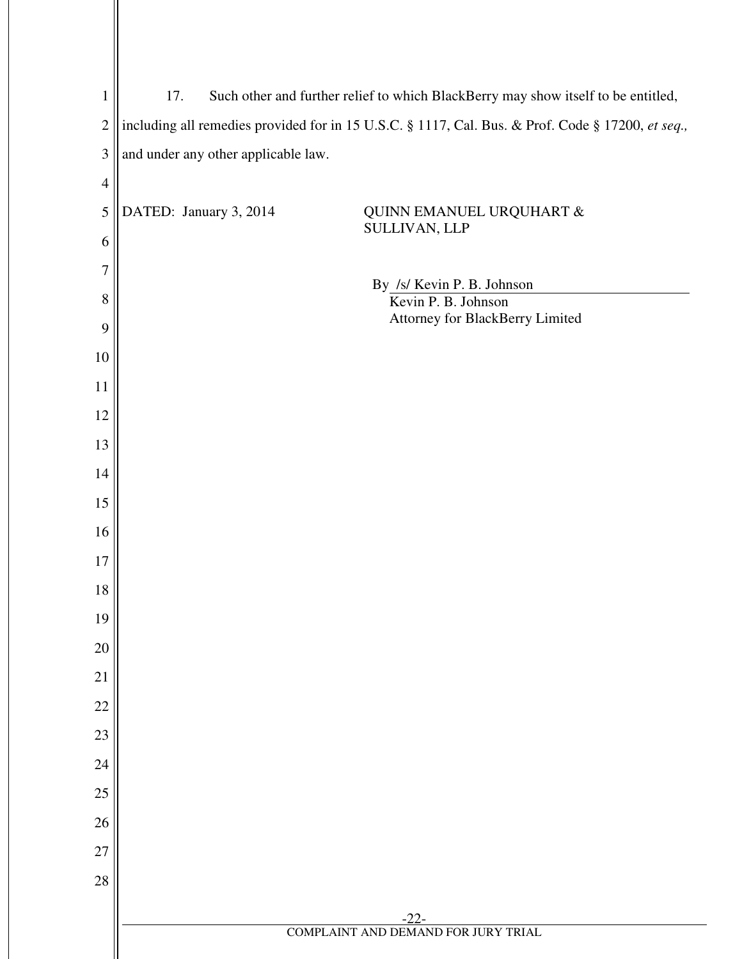| $\mathbf{1}$   | Such other and further relief to which BlackBerry may show itself to be entitled,<br>17.          |
|----------------|---------------------------------------------------------------------------------------------------|
| $\overline{2}$ | including all remedies provided for in 15 U.S.C. § 1117, Cal. Bus. & Prof. Code § 17200, et seq., |
| 3              | and under any other applicable law.                                                               |
| $\overline{4}$ |                                                                                                   |
| 5              | DATED: January 3, 2014<br>QUINN EMANUEL URQUHART &                                                |
| 6              | SULLIVAN, LLP                                                                                     |
| $\overline{7}$ |                                                                                                   |
| 8              | By /s/ Kevin P. B. Johnson<br>Kevin P. B. Johnson                                                 |
| 9              | Attorney for BlackBerry Limited                                                                   |
| 10             |                                                                                                   |
| 11             |                                                                                                   |
| 12             |                                                                                                   |
| 13             |                                                                                                   |
| 14             |                                                                                                   |
| 15             |                                                                                                   |
| 16             |                                                                                                   |
| 17             |                                                                                                   |
| 18             |                                                                                                   |
| 19             |                                                                                                   |
| 20             |                                                                                                   |
| 21             |                                                                                                   |
| 22             |                                                                                                   |
| 23             |                                                                                                   |
| 24             |                                                                                                   |
| $25\,$         |                                                                                                   |
| 26             |                                                                                                   |
| $27\,$         |                                                                                                   |
| 28             |                                                                                                   |
|                | $-22-$<br><b>COMPLAINT AND DEMAND FOR JURY TRIAL</b>                                              |
|                |                                                                                                   |